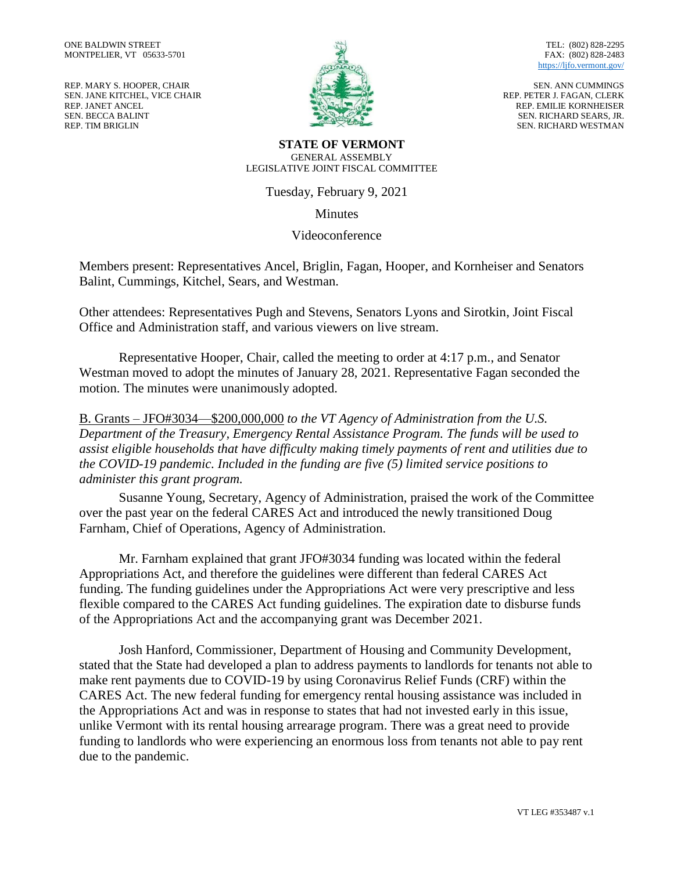REP. MARY S. HOOPER, CHAIR SEN. JANE KITCHEL, VICE CHAIR REP. JANET ANCEL SEN. BECCA BALINT REP. TIM BRIGLIN



TEL: (802) 828-2295 FAX: (802) 828-2483 <https://ljfo.vermont.gov/>

SEN. ANN CUMMINGS REP. PETER J. FAGAN, CLERK REP. EMILIE KORNHEISER SEN. RICHARD SEARS, JR. SEN. RICHARD WESTMAN

**STATE OF VERMONT** GENERAL ASSEMBLY LEGISLATIVE JOINT FISCAL COMMITTEE

Tuesday, February 9, 2021

Minutes

Videoconference

Members present: Representatives Ancel, Briglin, Fagan, Hooper, and Kornheiser and Senators Balint, Cummings, Kitchel, Sears, and Westman.

Other attendees: Representatives Pugh and Stevens, Senators Lyons and Sirotkin, Joint Fiscal Office and Administration staff, and various viewers on live stream.

Representative Hooper, Chair, called the meeting to order at 4:17 p.m., and Senator Westman moved to adopt the minutes of January 28, 2021. Representative Fagan seconded the motion. The minutes were unanimously adopted.

B. Grants – JFO#3034—\$200,000,000 *to the VT Agency of Administration from the U.S. Department of the Treasury, Emergency Rental Assistance Program. The funds will be used to assist eligible households that have difficulty making timely payments of rent and utilities due to the COVID-19 pandemic. Included in the funding are five (5) limited service positions to administer this grant program.*

Susanne Young, Secretary, Agency of Administration, praised the work of the Committee over the past year on the federal CARES Act and introduced the newly transitioned Doug Farnham, Chief of Operations, Agency of Administration.

Mr. Farnham explained that grant JFO#3034 funding was located within the federal Appropriations Act, and therefore the guidelines were different than federal CARES Act funding. The funding guidelines under the Appropriations Act were very prescriptive and less flexible compared to the CARES Act funding guidelines. The expiration date to disburse funds of the Appropriations Act and the accompanying grant was December 2021.

Josh Hanford, Commissioner, Department of Housing and Community Development, stated that the State had developed a plan to address payments to landlords for tenants not able to make rent payments due to COVID-19 by using Coronavirus Relief Funds (CRF) within the CARES Act. The new federal funding for emergency rental housing assistance was included in the Appropriations Act and was in response to states that had not invested early in this issue, unlike Vermont with its rental housing arrearage program. There was a great need to provide funding to landlords who were experiencing an enormous loss from tenants not able to pay rent due to the pandemic.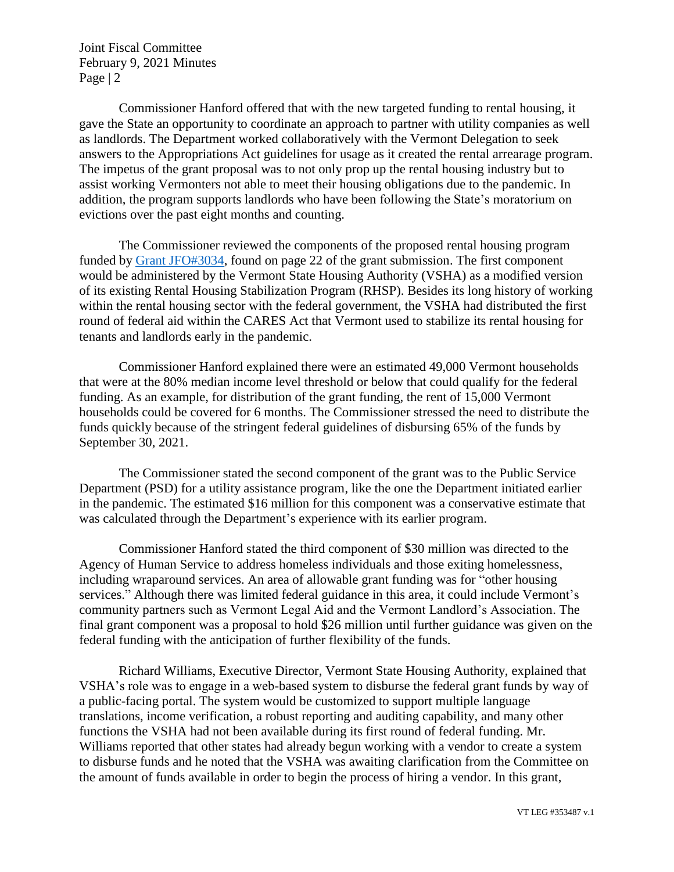Joint Fiscal Committee February 9, 2021 Minutes Page | 2

Commissioner Hanford offered that with the new targeted funding to rental housing, it gave the State an opportunity to coordinate an approach to partner with utility companies as well as landlords. The Department worked collaboratively with the Vermont Delegation to seek answers to the Appropriations Act guidelines for usage as it created the rental arrearage program. The impetus of the grant proposal was to not only prop up the rental housing industry but to assist working Vermonters not able to meet their housing obligations due to the pandemic. In addition, the program supports landlords who have been following the State's moratorium on evictions over the past eight months and counting.

The Commissioner reviewed the components of the proposed rental housing program funded by [Grant JFO#3034,](https://ljfo.vermont.gov/assets/Meetings/Joint-Fiscal-Committee/2021-02-09/ebad9ae458/JFO-3034-Grant-packet-REVISED-002.pdf) found on page 22 of the grant submission. The first component would be administered by the Vermont State Housing Authority (VSHA) as a modified version of its existing Rental Housing Stabilization Program (RHSP). Besides its long history of working within the rental housing sector with the federal government, the VSHA had distributed the first round of federal aid within the CARES Act that Vermont used to stabilize its rental housing for tenants and landlords early in the pandemic.

Commissioner Hanford explained there were an estimated 49,000 Vermont households that were at the 80% median income level threshold or below that could qualify for the federal funding. As an example, for distribution of the grant funding, the rent of 15,000 Vermont households could be covered for 6 months. The Commissioner stressed the need to distribute the funds quickly because of the stringent federal guidelines of disbursing 65% of the funds by September 30, 2021.

The Commissioner stated the second component of the grant was to the Public Service Department (PSD) for a utility assistance program, like the one the Department initiated earlier in the pandemic. The estimated \$16 million for this component was a conservative estimate that was calculated through the Department's experience with its earlier program.

Commissioner Hanford stated the third component of \$30 million was directed to the Agency of Human Service to address homeless individuals and those exiting homelessness, including wraparound services. An area of allowable grant funding was for "other housing services." Although there was limited federal guidance in this area, it could include Vermont's community partners such as Vermont Legal Aid and the Vermont Landlord's Association. The final grant component was a proposal to hold \$26 million until further guidance was given on the federal funding with the anticipation of further flexibility of the funds.

Richard Williams, Executive Director, Vermont State Housing Authority, explained that VSHA's role was to engage in a web-based system to disburse the federal grant funds by way of a public-facing portal. The system would be customized to support multiple language translations, income verification, a robust reporting and auditing capability, and many other functions the VSHA had not been available during its first round of federal funding. Mr. Williams reported that other states had already begun working with a vendor to create a system to disburse funds and he noted that the VSHA was awaiting clarification from the Committee on the amount of funds available in order to begin the process of hiring a vendor. In this grant,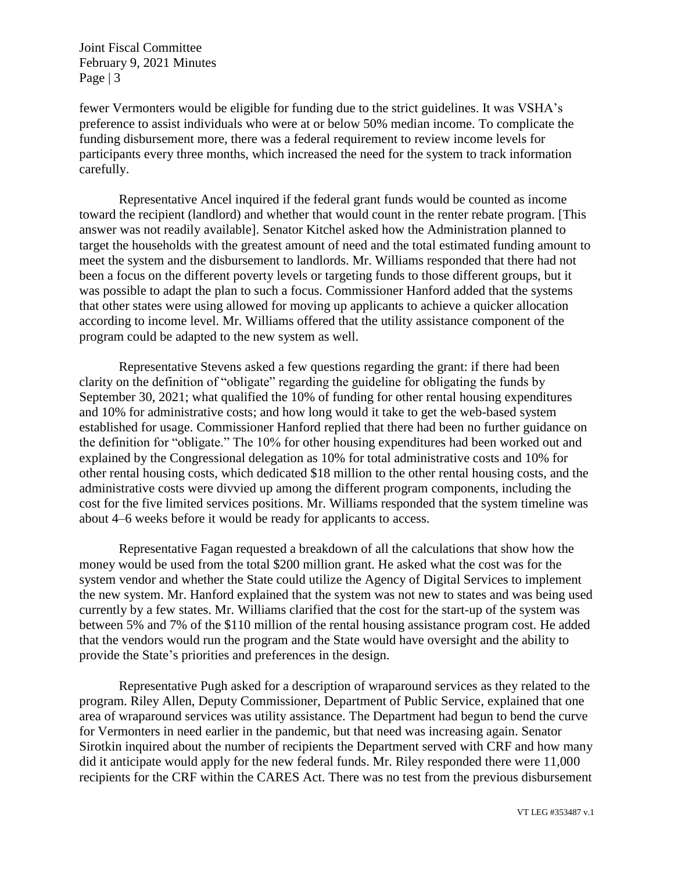Joint Fiscal Committee February 9, 2021 Minutes Page  $|3$ 

fewer Vermonters would be eligible for funding due to the strict guidelines. It was VSHA's preference to assist individuals who were at or below 50% median income. To complicate the funding disbursement more, there was a federal requirement to review income levels for participants every three months, which increased the need for the system to track information carefully.

Representative Ancel inquired if the federal grant funds would be counted as income toward the recipient (landlord) and whether that would count in the renter rebate program. [This answer was not readily available]. Senator Kitchel asked how the Administration planned to target the households with the greatest amount of need and the total estimated funding amount to meet the system and the disbursement to landlords. Mr. Williams responded that there had not been a focus on the different poverty levels or targeting funds to those different groups, but it was possible to adapt the plan to such a focus. Commissioner Hanford added that the systems that other states were using allowed for moving up applicants to achieve a quicker allocation according to income level. Mr. Williams offered that the utility assistance component of the program could be adapted to the new system as well.

Representative Stevens asked a few questions regarding the grant: if there had been clarity on the definition of "obligate" regarding the guideline for obligating the funds by September 30, 2021; what qualified the 10% of funding for other rental housing expenditures and 10% for administrative costs; and how long would it take to get the web-based system established for usage. Commissioner Hanford replied that there had been no further guidance on the definition for "obligate." The 10% for other housing expenditures had been worked out and explained by the Congressional delegation as 10% for total administrative costs and 10% for other rental housing costs, which dedicated \$18 million to the other rental housing costs, and the administrative costs were divvied up among the different program components, including the cost for the five limited services positions. Mr. Williams responded that the system timeline was about 4–6 weeks before it would be ready for applicants to access.

Representative Fagan requested a breakdown of all the calculations that show how the money would be used from the total \$200 million grant. He asked what the cost was for the system vendor and whether the State could utilize the Agency of Digital Services to implement the new system. Mr. Hanford explained that the system was not new to states and was being used currently by a few states. Mr. Williams clarified that the cost for the start-up of the system was between 5% and 7% of the \$110 million of the rental housing assistance program cost. He added that the vendors would run the program and the State would have oversight and the ability to provide the State's priorities and preferences in the design.

Representative Pugh asked for a description of wraparound services as they related to the program. Riley Allen, Deputy Commissioner, Department of Public Service, explained that one area of wraparound services was utility assistance. The Department had begun to bend the curve for Vermonters in need earlier in the pandemic, but that need was increasing again. Senator Sirotkin inquired about the number of recipients the Department served with CRF and how many did it anticipate would apply for the new federal funds. Mr. Riley responded there were 11,000 recipients for the CRF within the CARES Act. There was no test from the previous disbursement